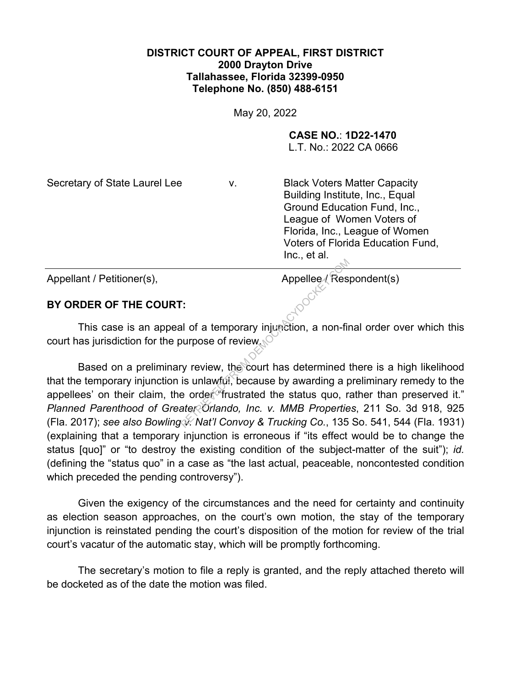## **DISTRICT COURT OF APPEAL, FIRST DISTRICT 2000 Drayton Drive Tallahassee, Florida 32399-0950 Telephone No. (850) 488-6151**

May 20, 2022

**CASE NO.**: **1D22-1470**

L.T. No.: 2022 CA 0666

Secretary of State Laurel Lee v. Black Voters Matter Capacity Building Institute, Inc., Equal Ground Education Fund, Inc., League of Women Voters of Florida, Inc., League of Women Voters of Florida Education Fund, Inc., et al.

Appellant / Petitioner(s), Appellee / Respondent(s)

## **BY ORDER OF THE COURT:**

This case is an appeal of a temporary injunction, a non-final order over which this court has jurisdiction for the purpose of review.

Based on a preliminary review, the court has determined there is a high likelihood that the temporary injunction is unlawful, because by awarding a preliminary remedy to the appellees' on their claim, the order "frustrated the status quo, rather than preserved it." *Planned Parenthood of Greater Orlando, Inc. v. MMB Properties*, 211 So. 3d 918, 925 (Fla. 2017); *see also Bowling v. Nat'l Convoy & Trucking Co.*, 135 So. 541, 544 (Fla. 1931) (explaining that a temporary injunction is erroneous if "its effect would be to change the status [quo]" or "to destroy the existing condition of the subject-matter of the suit"); *id.*  (defining the "status quo" in a case as "the last actual, peaceable, noncontested condition which preceded the pending controversy"). Appellee *A* Res<br>
Repellee *A* Res<br>
Res<br>
Res<br>
Nurpose of review<br>
Nurpose of review<br>
The Sourt has determined<br>
The Sourt has determined<br>
The Source of Trustrated the status quo, repertient<br>
Residence of the Status quo, repe

Given the exigency of the circumstances and the need for certainty and continuity as election season approaches, on the court's own motion, the stay of the temporary injunction is reinstated pending the court's disposition of the motion for review of the trial court's vacatur of the automatic stay, which will be promptly forthcoming.

The secretary's motion to file a reply is granted, and the reply attached thereto will be docketed as of the date the motion was filed.